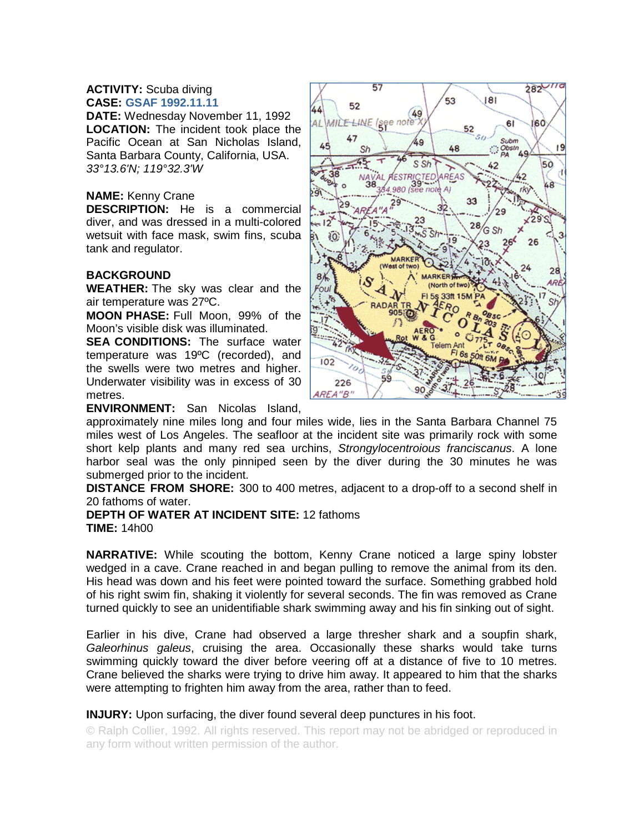## **ACTIVITY:** Scuba diving **CASE: GSAF 1992.11.11**

**DATE:** Wednesday November 11, 1992 **LOCATION:** The incident took place the Pacific Ocean at San Nicholas Island, Santa Barbara County, California, USA. *33°13.6'N; 119°32.3'W*

## **NAME:** Kenny Crane

**DESCRIPTION:** He is a commercial diver, and was dressed in a multi-colored wetsuit with face mask, swim fins, scuba tank and regulator.

## **BACKGROUND**

**WEATHER:** The sky was clear and the air temperature was 27ºC.

**MOON PHASE:** Full Moon, 99% of the Moon's visible disk was illuminated.

**SEA CONDITIONS:** The surface water temperature was 19ºC (recorded), and the swells were two metres and higher. Underwater visibility was in excess of 30 metres.

**ENVIRONMENT:** San Nicolas Island,

approximately nine miles long and four miles wide, lies in the Santa Barbara Channel 75 miles west of Los Angeles. The seafloor at the incident site was primarily rock with some short kelp plants and many red sea urchins, *Strongylocentroious franciscanus*. A lone harbor seal was the only pinniped seen by the diver during the 30 minutes he was submerged prior to the incident.

**DISTANCE FROM SHORE:** 300 to 400 metres, adjacent to a drop-off to a second shelf in 20 fathoms of water.

**DEPTH OF WATER AT INCIDENT SITE:** 12 fathoms **TIME:** 14h00

**NARRATIVE:** While scouting the bottom, Kenny Crane noticed a large spiny lobster wedged in a cave. Crane reached in and began pulling to remove the animal from its den. His head was down and his feet were pointed toward the surface. Something grabbed hold of his right swim fin, shaking it violently for several seconds. The fin was removed as Crane turned quickly to see an unidentifiable shark swimming away and his fin sinking out of sight.

Earlier in his dive, Crane had observed a large thresher shark and a soupfin shark, *Galeorhinus galeus*, cruising the area. Occasionally these sharks would take turns swimming quickly toward the diver before veering off at a distance of five to 10 metres. Crane believed the sharks were trying to drive him away. It appeared to him that the sharks were attempting to frighten him away from the area, rather than to feed.

## **INJURY:** Upon surfacing, the diver found several deep punctures in his foot.

© Ralph Collier, 1992. All rights reserved. This report may not be abridged or reproduced in any form without written permission of the author.